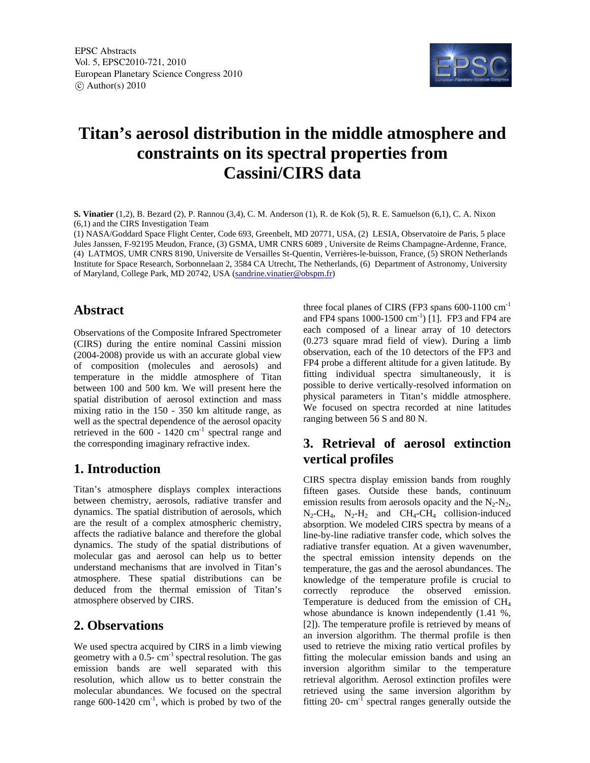

# **Titan's aerosol distribution in the middle atmosphere and constraints on its spectral properties from Cassini/CIRS data**

**S. Vinatier** (1,2), B. Bezard (2), P. Rannou (3,4), C. M. Anderson (1), R. de Kok (5), R. E. Samuelson (6,1), C. A. Nixon (6,1) and the CIRS Investigation Team

(1) NASA/Goddard Space Flight Center, Code 693, Greenbelt, MD 20771, USA, (2) LESIA, Observatoire de Paris, 5 place Jules Janssen, F-92195 Meudon, France, (3) GSMA, UMR CNRS 6089 , Universite de Reims Champagne-Ardenne, France, (4) LATMOS, UMR CNRS 8190, Universite de Versailles St-Quentin, Verrières-le-buisson, France, (5) SRON Netherlands Institute for Space Research, Sorbonnelaan 2, 3584 CA Utrecht, The Netherlands, (6) Department of Astronomy, University of Maryland, College Park, MD 20742, USA (sandrine.vinatier@obspm.fr)

#### **Abstract**

Observations of the Composite Infrared Spectrometer (CIRS) during the entire nominal Cassini mission (2004-2008) provide us with an accurate global view of composition (molecules and aerosols) and temperature in the middle atmosphere of Titan between 100 and 500 km. We will present here the spatial distribution of aerosol extinction and mass mixing ratio in the 150 - 350 km altitude range, as well as the spectral dependence of the aerosol opacity retrieved in the  $600 - 1420$   $\text{cm}^{-1}$  spectral range and the corresponding imaginary refractive index.

## **1. Introduction**

Titan's atmosphere displays complex interactions between chemistry, aerosols, radiative transfer and dynamics. The spatial distribution of aerosols, which are the result of a complex atmospheric chemistry, affects the radiative balance and therefore the global dynamics. The study of the spatial distributions of molecular gas and aerosol can help us to better understand mechanisms that are involved in Titan's atmosphere. These spatial distributions can be deduced from the thermal emission of Titan's atmosphere observed by CIRS.

## **2. Observations**

We used spectra acquired by CIRS in a limb viewing geometry with a  $0.5$ - cm<sup>-1</sup> spectral resolution. The gas emission bands are well separated with this resolution, which allow us to better constrain the molecular abundances. We focused on the spectral range  $600-1420$  cm<sup>-1</sup>, which is probed by two of the three focal planes of CIRS (FP3 spans  $600-1100$  cm<sup>-1</sup> and FP4 spans  $1000-1500 \text{ cm}^{-1}$  [1]. FP3 and FP4 are each composed of a linear array of 10 detectors (0.273 square mrad field of view). During a limb observation, each of the 10 detectors of the FP3 and FP4 probe a different altitude for a given latitude. By fitting individual spectra simultaneously, it is possible to derive vertically-resolved information on physical parameters in Titan's middle atmosphere. We focused on spectra recorded at nine latitudes ranging between 56 S and 80 N.

## **3. Retrieval of aerosol extinction vertical profiles**

CIRS spectra display emission bands from roughly fifteen gases. Outside these bands, continuum emission results from aerosols opacity and the  $N_2-N_2$ ,  $N_2$ -CH<sub>4</sub>,  $N_2$ -H<sub>2</sub> and CH<sub>4</sub>-CH<sub>4</sub> collision-induced absorption. We modeled CIRS spectra by means of a line-by-line radiative transfer code, which solves the radiative transfer equation. At a given wavenumber, the spectral emission intensity depends on the temperature, the gas and the aerosol abundances. The knowledge of the temperature profile is crucial to correctly reproduce the observed emission. Temperature is deduced from the emission of CH4 whose abundance is known independently (1.41 %, [2]). The temperature profile is retrieved by means of an inversion algorithm. The thermal profile is then used to retrieve the mixing ratio vertical profiles by fitting the molecular emission bands and using an inversion algorithm similar to the temperature retrieval algorithm. Aerosol extinction profiles were retrieved using the same inversion algorithm by fitting 20- cm-1 spectral ranges generally outside the